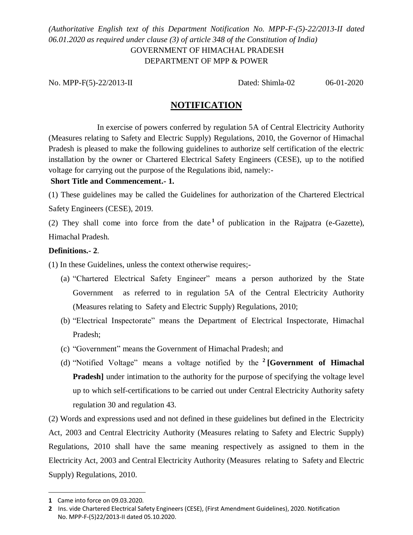## *(Authoritative English text of this Department Notification No. MPP-F-(5)-22/2013-II dated 06.01.2020 as required under clause (3) of article 348 of the Constitution of India)*  GOVERNMENT OF HIMACHAL PRADESH DEPARTMENT OF MPP & POWER

No. MPP-F(5)-22/2013-IIDated: Shimla-02 06-01-2020

# **NOTIFICATION**

 In exercise of powers conferred by regulation 5A of Central Electricity Authority (Measures relating to Safety and Electric Supply) Regulations, 2010, the Governor of Himachal Pradesh is pleased to make the following guidelines to authorize self certification of the electric installation by the owner or Chartered Electrical Safety Engineers (CESE), up to the notified voltage for carrying out the purpose of the Regulations ibid, namely:-

## **Short Title and Commencement.- 1.**

(1) These guidelines may be called the Guidelines for authorization of the Chartered Electrical Safety Engineers (CESE), 2019.

(2) They shall come into force from the date  $1$  of publication in the Rajpatra (e-Gazette), Himachal Pradesh.

## **Definitions.- 2**.

(1) In these Guidelines, unless the context otherwise requires;-

- (a) "Chartered Electrical Safety Engineer" means a person authorized by the State Government as referred to in regulation 5A of the Central Electricity Authority (Measures relating to Safety and Electric Supply) Regulations, 2010;
- (b) "Electrical Inspectorate" means the Department of Electrical Inspectorate, Himachal Pradesh;
- (c) "Government" means the Government of Himachal Pradesh; and
- (d) "Notified Voltage" means a voltage notified by the **<sup>2</sup> [Government of Himachal Pradesh**] under intimation to the authority for the purpose of specifying the voltage level up to which self-certifications to be carried out under Central Electricity Authority safety regulation 30 and regulation 43.

(2) Words and expressions used and not defined in these guidelines but defined in the Electricity Act, 2003 and Central Electricity Authority (Measures relating to Safety and Electric Supply) Regulations, 2010 shall have the same meaning respectively as assigned to them in the Electricity Act, 2003 and Central Electricity Authority (Measures relating to Safety and Electric Supply) Regulations, 2010.

 $\overline{a}$ 

**<sup>1</sup>** Came into force on 09.03.2020.

**<sup>2</sup>** Ins. vide Chartered Electrical Safety Engineers (CESE), (First Amendment Guidelines), 2020. Notification No. MPP-F-(5)22/2013-II dated 05.10.2020.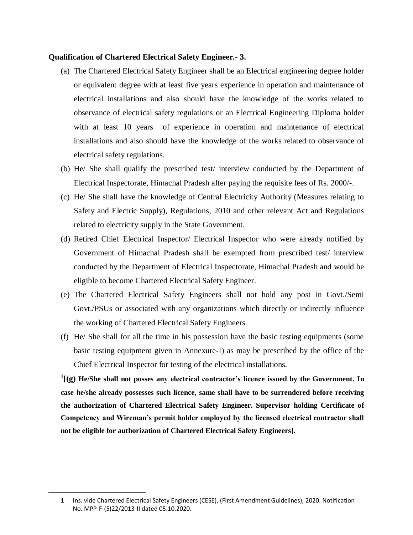#### **Qualification of Chartered Electrical Safety Engineer.- 3.**

- (a) The Chartered Electrical Safety Engineer shall be an Electrical engineering degree holder or equivalent degree with at least five years experience in operation and maintenance of electrical installations and also should have the knowledge of the works related to observance of electrical safety regulations or an Electrical Engineering Diploma holder with at least 10 years of experience in operation and maintenance of electrical installations and also should have the knowledge of the works related to observance of electrical safety regulations.
- (b) He/ She shall qualify the prescribed test/ interview conducted by the Department of Electrical Inspectorate, Himachal Pradesh after paying the requisite fees of Rs. 2000/-.
- (c) He/ She shall have the knowledge of Central Electricity Authority (Measures relating to Safety and Electric Supply), Regulations, 2010 and other relevant Act and Regulations related to electricity supply in the State Government.
- (d) Retired Chief Electrical Inspector/ Electrical Inspector who were already notified by Government of Himachal Pradesh shall be exempted from prescribed test/ interview conducted by the Department of Electrical Inspectorate, Himachal Pradesh and would be eligible to become Chartered Electrical Safety Engineer.
- (e) The Chartered Electrical Safety Engineers shall not hold any post in Govt./Semi Govt./PSUs or associated with any organizations which directly or indirectly influence the working of Chartered Electrical Safety Engineers.
- (f) He/ She shall for all the time in his possession have the basic testing equipments (some basic testing equipment given in Annexure-I) as may be prescribed by the office of the Chief Electrical Inspector for testing of the electrical installations.

**1 [(g) He/She shall not posses any electrical contractor's licence issued by the Government. In case he/she already possesses such licence, same shall have to be surrendered before receiving the authorization of Chartered Electrical Safety Engineer. Supervisor holding Certificate of Competency and Wireman's permit holder employed by the licensed electrical contractor shall not be eligible for authorization of Chartered Electrical Safety Engineers].**

 $\overline{a}$ 

**<sup>1</sup>** Ins. vide Chartered Electrical Safety Engineers (CESE), (First Amendment Guidelines), 2020. Notification No. MPP-F-(5)22/2013-II dated 05.10.2020.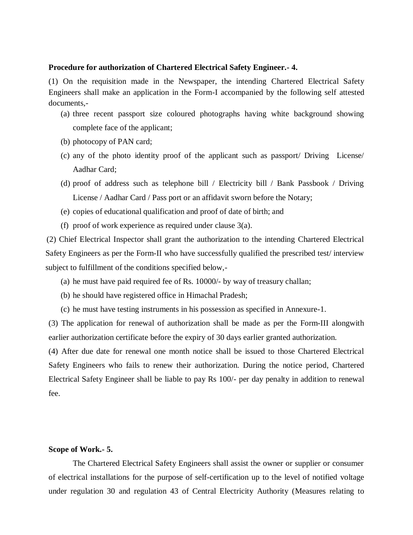#### **Procedure for authorization of Chartered Electrical Safety Engineer.- 4.**

(1) On the requisition made in the Newspaper, the intending Chartered Electrical Safety Engineers shall make an application in the Form-I accompanied by the following self attested documents,-

- (a) three recent passport size coloured photographs having white background showing complete face of the applicant;
- (b) photocopy of PAN card;
- (c) any of the photo identity proof of the applicant such as passport/ Driving License/ Aadhar Card;
- (d) proof of address such as telephone bill / Electricity bill / Bank Passbook / Driving License / Aadhar Card / Pass port or an affidavit sworn before the Notary;
- (e) copies of educational qualification and proof of date of birth; and
- (f) proof of work experience as required under clause 3(a).

(2) Chief Electrical Inspector shall grant the authorization to the intending Chartered Electrical Safety Engineers as per the Form-II who have successfully qualified the prescribed test/ interview subject to fulfillment of the conditions specified below,-

- (a) he must have paid required fee of Rs. 10000/- by way of treasury challan;
- (b) he should have registered office in Himachal Pradesh;
- (c) he must have testing instruments in his possession as specified in Annexure-1.

(3) The application for renewal of authorization shall be made as per the Form-III alongwith earlier authorization certificate before the expiry of 30 days earlier granted authorization.

(4) After due date for renewal one month notice shall be issued to those Chartered Electrical Safety Engineers who fails to renew their authorization. During the notice period, Chartered Electrical Safety Engineer shall be liable to pay Rs 100/- per day penalty in addition to renewal fee.

#### **Scope of Work.- 5.**

The Chartered Electrical Safety Engineers shall assist the owner or supplier or consumer of electrical installations for the purpose of self-certification up to the level of notified voltage under regulation 30 and regulation 43 of Central Electricity Authority (Measures relating to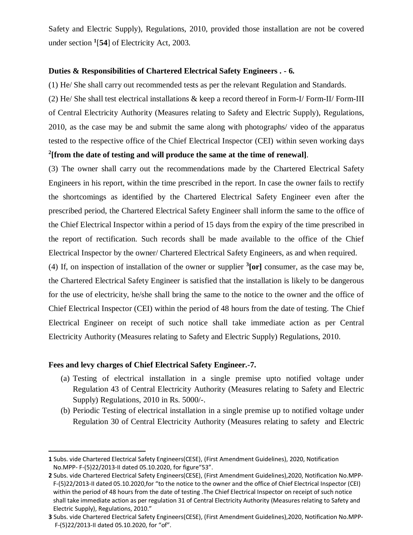Safety and Electric Supply), Regulations, 2010, provided those installation are not be covered under section **<sup>1</sup>** [**54**] of Electricity Act, 2003.

#### **Duties & Responsibilities of Chartered Electrical Safety Engineers . - 6.**

(1) He/ She shall carry out recommended tests as per the relevant Regulation and Standards.

(2) He/ She shall test electrical installations & keep a record thereof in Form-I/ Form-II/ Form-III of Central Electricity Authority (Measures relating to Safety and Electric Supply), Regulations, 2010, as the case may be and submit the same along with photographs/ video of the apparatus tested to the respective office of the Chief Electrical Inspector (CEI) within seven working days **2 [from the date of testing and will produce the same at the time of renewal]**.

(3) The owner shall carry out the recommendations made by the Chartered Electrical Safety Engineers in his report, within the time prescribed in the report. In case the owner fails to rectify the shortcomings as identified by the Chartered Electrical Safety Engineer even after the prescribed period, the Chartered Electrical Safety Engineer shall inform the same to the office of the Chief Electrical Inspector within a period of 15 days from the expiry of the time prescribed in the report of rectification. Such records shall be made available to the office of the Chief Electrical Inspector by the owner/ Chartered Electrical Safety Engineers, as and when required.

(4) If, on inspection of installation of the owner or supplier  ${}^{3}$ [or] consumer, as the case may be, the Chartered Electrical Safety Engineer is satisfied that the installation is likely to be dangerous for the use of electricity, he/she shall bring the same to the notice to the owner and the office of Chief Electrical Inspector (CEI) within the period of 48 hours from the date of testing. The Chief Electrical Engineer on receipt of such notice shall take immediate action as per Central Electricity Authority (Measures relating to Safety and Electric Supply) Regulations, 2010.

#### **Fees and levy charges of Chief Electrical Safety Engineer.-7.**

 $\overline{a}$ 

- (a) Testing of electrical installation in a single premise upto notified voltage under Regulation 43 of Central Electricity Authority (Measures relating to Safety and Electric Supply) Regulations, 2010 in Rs. 5000/-.
- (b) Periodic Testing of electrical installation in a single premise up to notified voltage under Regulation 30 of Central Electricity Authority (Measures relating to safety and Electric

**<sup>1</sup>** Subs. vide Chartered Electrical Safety Engineers(CESE), (First Amendment Guidelines), 2020, Notification No.MPP- F-(5)22/2013-II dated 05.10.2020, for figure"53".

**<sup>2</sup>** Subs. vide Chartered Electrical Safety Engineers(CESE), (First Amendment Guidelines),2020, Notification No.MPP- F-(5)22/2013-II dated 05.10.2020,for "to the notice to the owner and the office of Chief Electrical Inspector (CEI) within the period of 48 hours from the date of testing .The Chief Electrical Inspector on receipt of such notice shall take immediate action as per regulation 31 of Central Electricity Authority (Measures relating to Safety and Electric Supply), Regulations, 2010."

**<sup>3</sup>** Subs. vide Chartered Electrical Safety Engineers(CESE), (First Amendment Guidelines),2020, Notification No.MPP- F-(5)22/2013-II dated 05.10.2020, for "of".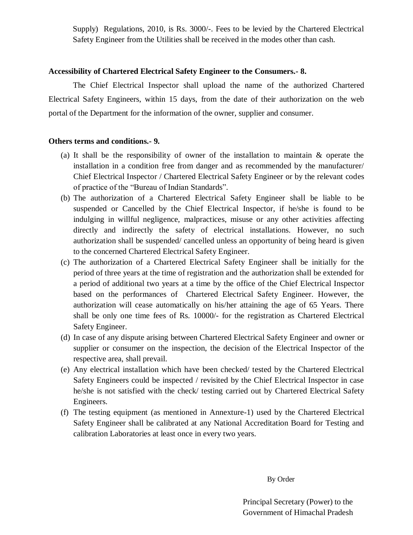Supply) Regulations, 2010, is Rs. 3000/-. Fees to be levied by the Chartered Electrical Safety Engineer from the Utilities shall be received in the modes other than cash.

## **Accessibility of Chartered Electrical Safety Engineer to the Consumers.- 8.**

 The Chief Electrical Inspector shall upload the name of the authorized Chartered Electrical Safety Engineers, within 15 days, from the date of their authorization on the web portal of the Department for the information of the owner, supplier and consumer.

### **Others terms and conditions.- 9.**

- (a) It shall be the responsibility of owner of the installation to maintain & operate the installation in a condition free from danger and as recommended by the manufacturer/ Chief Electrical Inspector / Chartered Electrical Safety Engineer or by the relevant codes of practice of the "Bureau of Indian Standards".
- (b) The authorization of a Chartered Electrical Safety Engineer shall be liable to be suspended or Cancelled by the Chief Electrical Inspector, if he/she is found to be indulging in willful negligence, malpractices, misuse or any other activities affecting directly and indirectly the safety of electrical installations. However, no such authorization shall be suspended/ cancelled unless an opportunity of being heard is given to the concerned Chartered Electrical Safety Engineer.
- (c) The authorization of a Chartered Electrical Safety Engineer shall be initially for the period of three years at the time of registration and the authorization shall be extended for a period of additional two years at a time by the office of the Chief Electrical Inspector based on the performances of Chartered Electrical Safety Engineer. However, the authorization will cease automatically on his/her attaining the age of 65 Years. There shall be only one time fees of Rs. 10000/- for the registration as Chartered Electrical Safety Engineer.
- (d) In case of any dispute arising between Chartered Electrical Safety Engineer and owner or supplier or consumer on the inspection, the decision of the Electrical Inspector of the respective area, shall prevail.
- (e) Any electrical installation which have been checked/ tested by the Chartered Electrical Safety Engineers could be inspected / revisited by the Chief Electrical Inspector in case he/she is not satisfied with the check/ testing carried out by Chartered Electrical Safety Engineers.
- (f) The testing equipment (as mentioned in Annexture-1) used by the Chartered Electrical Safety Engineer shall be calibrated at any National Accreditation Board for Testing and calibration Laboratories at least once in every two years.

By Order

Principal Secretary (Power) to the Government of Himachal Pradesh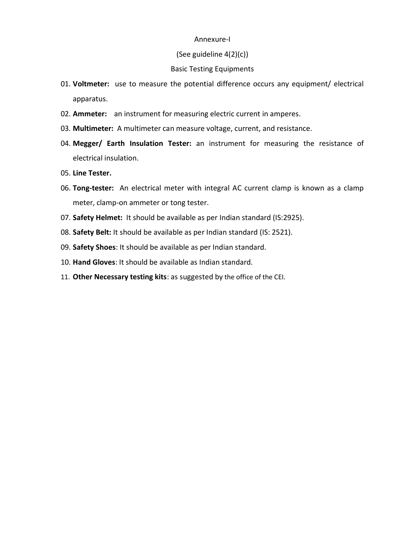#### Annexure-I

#### (See guideline 4(2)(c))

#### Basic Testing Equipments

- 01. **Voltmeter:** use to measure the potential difference occurs any equipment/ electrical apparatus.
- 02. **Ammeter:** an instrument for measuring electric current in amperes.
- 03. **Multimeter:** A multimeter can measure voltage, current, and resistance.
- 04. **Megger/ Earth Insulation Tester:** an instrument for measuring the resistance of electrical insulation.
- 05. **Line Tester.**
- 06. **Tong-tester:** An electrical meter with integral AC current clamp is known as a clamp meter, clamp-on ammeter or tong tester.
- 07. **Safety Helmet:** It should be available as per Indian standard (IS:2925).
- 08. **Safety Belt:** It should be available as per Indian standard (IS: 2521).
- 09. **Safety Shoes**: It should be available as per Indian standard.
- 10. **Hand Gloves**: It should be available as Indian standard.
- 11. **Other Necessary testing kits**: as suggested by the office of the CEI.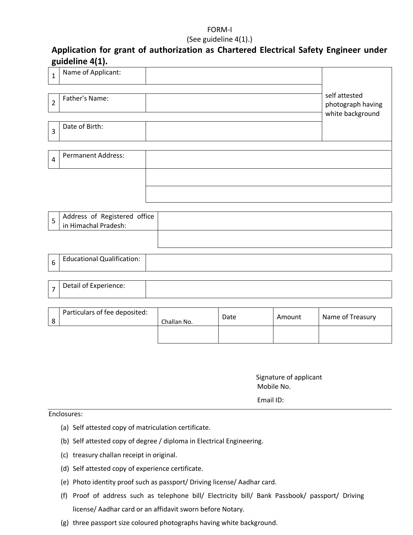## FORM-I

#### (See guideline 4(1).)

# **Application for grant of authorization as Chartered Electrical Safety Engineer under guideline 4(1).**

| $\mathbf{1}$   | Name of Applicant:                                   |             |      |        |                                                        |
|----------------|------------------------------------------------------|-------------|------|--------|--------------------------------------------------------|
| $\overline{2}$ | Father's Name:                                       |             |      |        | self attested<br>photograph having<br>white background |
| $\overline{3}$ | Date of Birth:                                       |             |      |        |                                                        |
| $\overline{4}$ | <b>Permanent Address:</b>                            |             |      |        |                                                        |
|                |                                                      |             |      |        |                                                        |
|                |                                                      |             |      |        |                                                        |
| $\overline{5}$ | Address of Registered office<br>in Himachal Pradesh: |             |      |        |                                                        |
|                |                                                      |             |      |        |                                                        |
| 6              | <b>Educational Qualification:</b>                    |             |      |        |                                                        |
| $\overline{7}$ | Detail of Experience:                                |             |      |        |                                                        |
| 8              | Particulars of fee deposited:                        | Challan No. | Date | Amount | Name of Treasury                                       |

 Signature of applicant Mobile No.

Email ID:

Enclosures:

- (a) Self attested copy of matriculation certificate.
- (b) Self attested copy of degree / diploma in Electrical Engineering.
- (c) treasury challan receipt in original.
- (d) Self attested copy of experience certificate.
- (e) Photo identity proof such as passport/ Driving license/ Aadhar card.
- (f) Proof of address such as telephone bill/ Electricity bill/ Bank Passbook/ passport/ Driving license/ Aadhar card or an affidavit sworn before Notary.
- (g) three passport size coloured photographs having white background.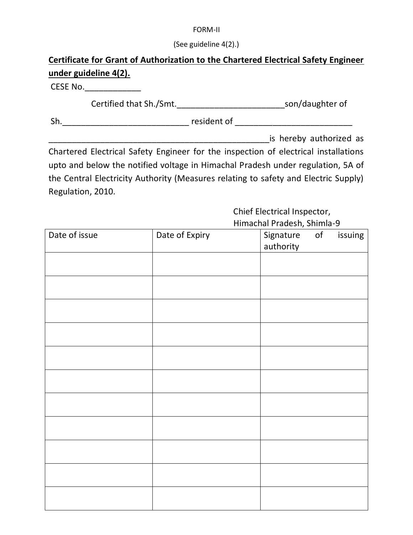## FORM-II

(See guideline 4(2).)

# **Certificate for Grant of Authorization to the Chartered Electrical Safety Engineer under guideline 4(2).**

CESE No.\_\_\_\_\_\_\_\_\_\_\_\_

Certified that Sh./Smt.\_\_\_\_\_\_\_\_\_\_\_\_\_\_\_\_\_\_\_\_\_\_\_son/daughter of

Sh.\_\_\_\_\_\_\_\_\_\_\_\_\_\_\_\_\_\_\_\_\_\_\_\_\_\_\_ resident of \_\_\_\_\_\_\_\_\_\_\_\_\_\_\_\_\_\_\_\_\_\_\_\_\_

\_\_\_\_\_\_\_\_\_\_\_\_\_\_\_\_\_\_\_\_\_\_\_\_\_\_\_\_\_\_\_\_\_\_\_\_\_\_\_\_\_\_\_\_\_\_\_is hereby authorized as

Chartered Electrical Safety Engineer for the inspection of electrical installations upto and below the notified voltage in Himachal Pradesh under regulation, 5A of the Central Electricity Authority (Measures relating to safety and Electric Supply) Regulation, 2010.

> Chief Electrical Inspector, Himachal Pradesh, Shimla-9

| Date of issue | Date of Expiry | Signature | of | issuing |
|---------------|----------------|-----------|----|---------|
|               |                | authority |    |         |
|               |                |           |    |         |
|               |                |           |    |         |
|               |                |           |    |         |
|               |                |           |    |         |
|               |                |           |    |         |
|               |                |           |    |         |
|               |                |           |    |         |
|               |                |           |    |         |
|               |                |           |    |         |
|               |                |           |    |         |
|               |                |           |    |         |
|               |                |           |    |         |
|               |                |           |    |         |
|               |                |           |    |         |
|               |                |           |    |         |
|               |                |           |    |         |
|               |                |           |    |         |
|               |                |           |    |         |
|               |                |           |    |         |
|               |                |           |    |         |
|               |                |           |    |         |
|               |                |           |    |         |